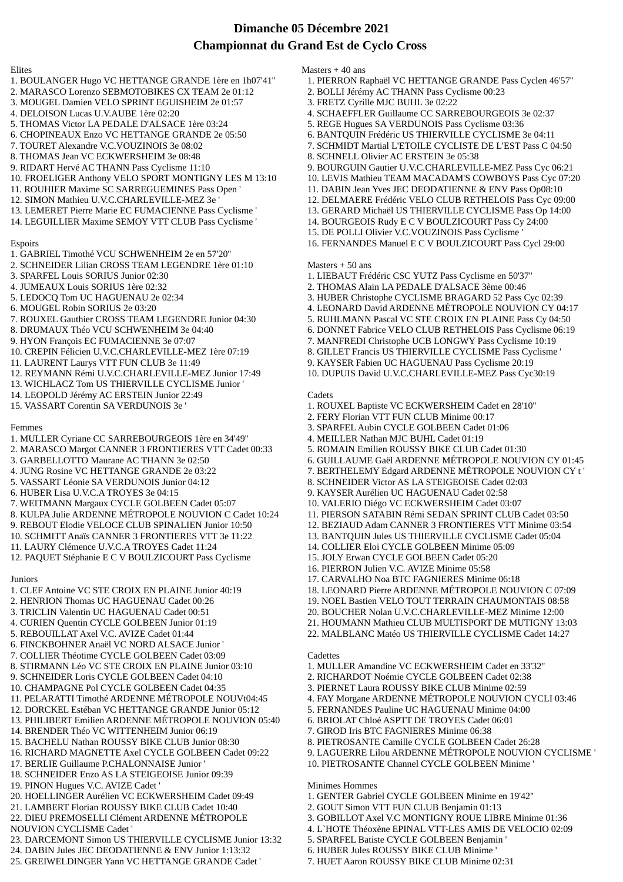# **Dimanche 05 Décembre 2021 Championnat du Grand Est de Cyclo Cross**

#### Elites

- 1. BOULANGER Hugo VC HETTANGE GRANDE 1ère en 1h07'41''
- 2. MARASCO Lorenzo SEBMOTOBIKES CX TEAM 2e 01:12
- 3. MOUGEL Damien VELO SPRINT EGUISHEIM 2e 01:57
- 4. DELOISON Lucas U.V.AUBE 1ère 02:20
- 5. THOMAS Victor LA PEDALE D'ALSACE 1ère 03:24
- 6. CHOPINEAUX Enzo VC HETTANGE GRANDE 2e 05:50
- 7. TOURET Alexandre V.C.VOUZINOIS 3e 08:02
- 8. THOMAS Jean VC ECKWERSHEIM 3e 08:48
- 9. RIDART Hervé AC THANN Pass Cyclisme 11:10
- 10. FROELIGER Anthony VELO SPORT MONTIGNY LES M 13:10
- 11. ROUHIER Maxime SC SARREGUEMINES Pass Open '
- 12. SIMON Mathieu U.V.C.CHARLEVILLE-MEZ 3e '
- 13. LEMERET Pierre Marie EC FUMACIENNE Pass Cyclisme '
- 14. LEGUILLIER Maxime SEMOY VTT CLUB Pass Cyclisme '

# Espoirs

- 1. GABRIEL Timothé VCU SCHWENHEIM 2e en 57'20''
- 2. SCHNEIDER Lilian CROSS TEAM LEGENDRE 1ère 01:10
- 3. SPARFEL Louis SORIUS Junior 02:30
- 4. JUMEAUX Louis SORIUS 1ère 02:32
- 5. LEDOCQ Tom UC HAGUENAU 2e 02:34
- 6. MOUGEL Robin SORIUS 2e 03:20
- 7. ROUXEL Gauthier CROSS TEAM LEGENDRE Junior 04:30
- 8. DRUMAUX Théo VCU SCHWENHEIM 3e 04:40
- 9. HYON François EC FUMACIENNE 3e 07:07
- 10. CREPIN Félicien U.V.C.CHARLEVILLE-MEZ 1ère 07:19
- 11. LAURENT Laurys VTT FUN CLUB 3e 11:49
- 12. REYMANN Rémi U.V.C.CHARLEVILLE-MEZ Junior 17:49
- 13. WICHLACZ Tom US THIERVILLE CYCLISME Junior '
- 14. LEOPOLD Jérémy AC ERSTEIN Junior 22:49
- 15. VASSART Corentin SA VERDUNOIS 3e '

# Femmes

- 1. MULLER Cyriane CC SARREBOURGEOIS 1ère en 34'49''
- 2. MARASCO Margot CANNER 3 FRONTIERES VTT Cadet 00:33
- 3. GARBELLOTTO Maurane AC THANN 3e 02:50
- 4. JUNG Rosine VC HETTANGE GRANDE 2e 03:22
- 5. VASSART Léonie SA VERDUNOIS Junior 04:12
- 6. HUBER Lisa U.V.C.A TROYES 3e 04:15
- 7. WEITMANN Margaux CYCLE GOLBEEN Cadet 05:07
- 8. KULPA Julie ARDENNE MÉTROPOLE NOUVION C Cadet 10:24
- 9. REBOUT Elodie VELOCE CLUB SPINALIEN Junior 10:50
- 10. SCHMITT Anaïs CANNER 3 FRONTIERES VTT 3e 11:22
- 11. LAURY Clémence U.V.C.A TROYES Cadet 11:24
- 12. PAQUET Stéphanie E C V BOULZICOURT Pass Cyclisme

#### Juniors

- 1. CLEF Antoine VC STE CROIX EN PLAINE Junior 40:19
- 2. HENRION Thomas UC HAGUENAU Cadet 00:26
- 3. TRICLIN Valentin UC HAGUENAU Cadet 00:51
- 4. CURIEN Quentin CYCLE GOLBEEN Junior 01:19
- 5. REBOUILLAT Axel V.C. AVIZE Cadet 01:44
- 6. FINCKBOHNER Anaël VC NORD ALSACE Junior '
- 7. COLLIER Théotime CYCLE GOLBEEN Cadet 03:09
- 8. STIRMANN Léo VC STE CROIX EN PLAINE Junior 03:10
- 9. SCHNEIDER Loris CYCLE GOLBEEN Cadet 04:10
- 10. CHAMPAGNE Pol CYCLE GOLBEEN Cadet 04:35
- 11. PELARATTI Timothé ARDENNE MÉTROPOLE NOUVt04:45
- 12. DORCKEL Estéban VC HETTANGE GRANDE Junior 05:12 13. PHILIBERT Emilien ARDENNE MÉTROPOLE NOUVION 05:40
- 14. BRENDER Théo VC WITTENHEIM Junior 06:19
- 15. BACHELU Nathan ROUSSY BIKE CLUB Junior 08:30
- 16. RICHARD MAGNETTE Axel CYCLE GOLBEEN Cadet 09:22
- 17. BERLIE Guillaume P.CHALONNAISE Junior '
- 18. SCHNEIDER Enzo AS LA STEIGEOISE Junior 09:39
- 19. PINON Hugues V.C. AVIZE Cadet '
- 20. HOELLINGER Aurélien VC ECKWERSHEIM Cadet 09:49
- 21. LAMBERT Florian ROUSSY BIKE CLUB Cadet 10:40
- 22. DIEU PREMOSELLI Clément ARDENNE MÉTROPOLE
- NOUVION CYCLISME Cadet '
- 23. DARCEMONT Simon US THIERVILLE CYCLISME Junior 13:32
- 24. DABIN Jules JEC DEODATIENNE & ENV Junior 1:13:32
- 25. GREIWELDINGER Yann VC HETTANGE GRANDE Cadet '
- Masters + 40 ans
	- 1. PIERRON Raphaël VC HETTANGE GRANDE Pass Cyclen 46'57''
	- 2. BOLLI Jérémy AC THANN Pass Cyclisme 00:23
	- 3. FRETZ Cyrille MJC BUHL 3e 02:22
	- 4. SCHAEFFLER Guillaume CC SARREBOURGEOIS 3e 02:37
- 5. REGE Hugues SA VERDUNOIS Pass Cyclisme 03:36
- 6. BANTQUIN Frédéric US THIERVILLE CYCLISME 3e 04:11
- 7. SCHMIDT Martial L'ETOILE CYCLISTE DE L'EST Pass C 04:50
- 8. SCHNELL Olivier AC ERSTEIN 3e 05:38
- 9. BOURGUIN Gautier U.V.C.CHARLEVILLE-MEZ Pass Cyc 06:21
- 10. LEVIS Mathieu TEAM MACADAM'S COWBOYS Pass Cyc 07:20
- 11. DABIN Jean Yves JEC DEODATIENNE & ENV Pass Op08:10
- 12. DELMAERE Frédéric VELO CLUB RETHELOIS Pass Cyc 09:00
- 13. GERARD Michaël US THIERVILLE CYCLISME Pass Op 14:00
- 14. BOURGEOIS Rudy E C V BOULZICOURT Pass Cy 24:00
- 15. DE POLLI Olivier V.C.VOUZINOIS Pass Cyclisme '
- 16. FERNANDES Manuel E C V BOULZICOURT Pass Cycl 29:00

# Masters + 50 ans

1. LIEBAUT Frédéric CSC YUTZ Pass Cyclisme en 50'37''

2. FERY Florian VTT FUN CLUB Minime 00:17 3. SPARFEL Aubin CYCLE GOLBEEN Cadet 01:06 4. MEILLER Nathan MJC BUHL Cadet 01:19

5. ROMAIN Emilien ROUSSY BIKE CLUB Cadet 01:30

8. SCHNEIDER Victor AS LA STEIGEOISE Cadet 02:03 9. KAYSER Aurélien UC HAGUENAU Cadet 02:58 10. VALERIO Diégo VC ECKWERSHEIM Cadet 03:07

14. COLLIER Eloi CYCLE GOLBEEN Minime 05:09 15. JOLY Erwan CYCLE GOLBEEN Cadet 05:20 16. PIERRON Julien V.C. AVIZE Minime 05:58 17. CARVALHO Noa BTC FAGNIERES Minime 06:18

- 2. THOMAS Alain LA PEDALE D'ALSACE 3ème 00:46
- 3. HUBER Christophe CYCLISME BRAGARD 52 Pass Cyc 02:39
- 4. LEONARD David ARDENNE MÉTROPOLE NOUVION CY 04:17
- 5. RUHLMANN Pascal VC STE CROIX EN PLAINE Pass Cy 04:50
- 6. DONNET Fabrice VELO CLUB RETHELOIS Pass Cyclisme 06:19
- 7. MANFREDI Christophe UCB LONGWY Pass Cyclisme 10:19
- 8. GILLET Francis US THIERVILLE CYCLISME Pass Cyclisme '
- 9. KAYSER Fabien UC HAGUENAU Pass Cyclisme 20:19
- 10. DUPUIS David U.V.C.CHARLEVILLE-MEZ Pass Cyc30:19

6. GUILLAUME Gaël ARDENNE MÉTROPOLE NOUVION CY 01:45 7. BERTHELEMY Edgard ARDENNE MÉTROPOLE NOUVION CY t '

11. PIERSON SATABIN Rémi SEDAN SPRINT CLUB Cadet 03:50 12. BEZIAUD Adam CANNER 3 FRONTIERES VTT Minime 03:54 13. BANTQUIN Jules US THIERVILLE CYCLISME Cadet 05:04

18. LEONARD Pierre ARDENNE MÉTROPOLE NOUVION C 07:09 19. NOEL Bastien VELO TOUT TERRAIN CHAUMONTAIS 08:58 20. BOUCHER Nolan U.V.C.CHARLEVILLE-MEZ Minime 12:00 21. HOUMANN Mathieu CLUB MULTISPORT DE MUTIGNY 13:03 22. MALBLANC Matéo US THIERVILLE CYCLISME Cadet 14:27

4. FAY Morgane ARDENNE MÉTROPOLE NOUVION CYCLI 03:46

9. LAGUERRE Lilou ARDENNE MÉTROPOLE NOUVION CYCLISME '

1. MULLER Amandine VC ECKWERSHEIM Cadet en 33'32'' 2. RICHARDOT Noémie CYCLE GOLBEEN Cadet 02:38 3. PIERNET Laura ROUSSY BIKE CLUB Minime 02:59

5. FERNANDES Pauline UC HAGUENAU Minime 04:00 6. BRIOLAT Chloé ASPTT DE TROYES Cadet 06:01 7. GIROD Iris BTC FAGNIERES Minime 06:38

8. PIETROSANTE Camille CYCLE GOLBEEN Cadet 26:28

10. PIETROSANTE Channel CYCLE GOLBEEN Minime '

1. GENTER Gabriel CYCLE GOLBEEN Minime en 19'42'' 2. GOUT Simon VTT FUN CLUB Benjamin 01:13

5. SPARFEL Batiste CYCLE GOLBEEN Benjamin ' 6. HUBER Jules ROUSSY BIKE CLUB Minime ' 7. HUET Aaron ROUSSY BIKE CLUB Minime 02:31

3. GOBILLOT Axel V.C MONTIGNY ROUE LIBRE Minime 01:36 4. L`HOTE Théoxène EPINAL VTT-LES AMIS DE VELOCIO 02:09

#### **Cadets** 1. ROUXEL Baptiste VC ECKWERSHEIM Cadet en 28'10''

**Cadettes** 

Minimes Hommes